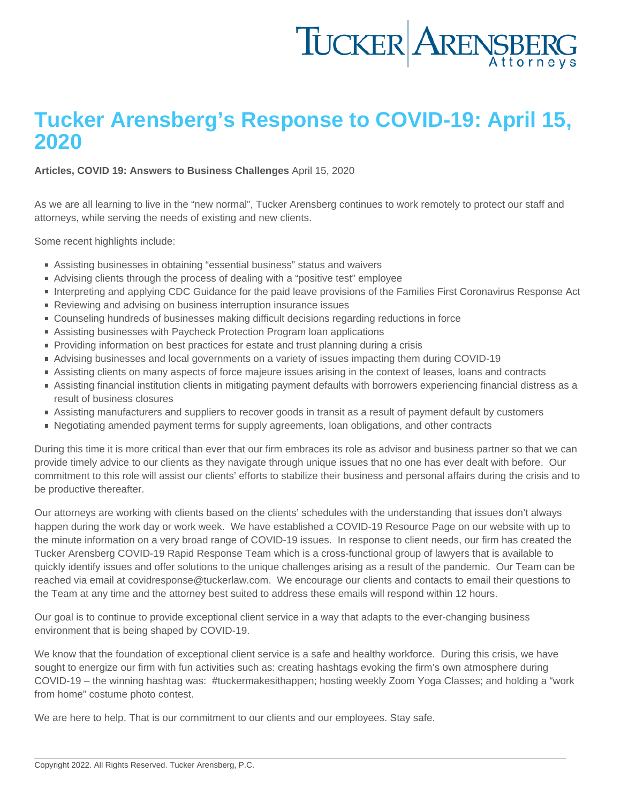## Tucker Arensberg's Response to COVID-19: April 15, 2020

[Articles](https://www.tuckerlaw.com/category/articles/), [COVID 19: Answers to Business Challenges](https://www.tuckerlaw.com/category/covid-19-answers-to-business-challenges/) April 15, 2020

As we are all learning to live in the "new normal", Tucker Arensberg continues to work remotely to protect our staff and attorneys, while serving the needs of existing and new clients.

Some recent highlights include:

- Assisting businesses in obtaining "essential business" status and waivers
- Advising clients through the process of dealing with a "positive test" employee
- Interpreting and applying CDC Guidance for the paid leave provisions of the Families First Coronavirus Response Act
- Reviewing and advising on business interruption insurance issues
- Counseling hundreds of businesses making difficult decisions regarding reductions in force
- Assisting businesses with Paycheck Protection Program loan applications
- **Providing information on best practices for estate and trust planning during a crisis**
- Advising businesses and local governments on a variety of issues impacting them during COVID-19
- Assisting clients on many aspects of force majeure issues arising in the context of leases, loans and contracts
- Assisting financial institution clients in mitigating payment defaults with borrowers experiencing financial distress as a result of business closures
- Assisting manufacturers and suppliers to recover goods in transit as a result of payment default by customers
- Negotiating amended payment terms for supply agreements, loan obligations, and other contracts

During this time it is more critical than ever that our firm embraces its role as advisor and business partner so that we can provide timely advice to our clients as they navigate through unique issues that no one has ever dealt with before. Our commitment to this role will assist our clients' efforts to stabilize their business and personal affairs during the crisis and to be productive thereafter.

Our attorneys are working with clients based on the clients' schedules with the understanding that issues don't always happen during the work day or work week. We have established a COVID-19 Resource Page on our website with up to the minute information on a very broad range of COVID-19 issues. In response to client needs, our firm has created the Tucker Arensberg COVID-19 Rapid Response Team which is a cross-functional group of lawyers that is available to quickly identify issues and offer solutions to the unique challenges arising as a result of the pandemic. Our Team can be reached via email at [covidresponse@tuckerlaw.com.](mailto:covidresponse@tuckerlaw.com) We encourage our clients and contacts to email their questions to the Team at any time and the attorney best suited to address these emails will respond within 12 hours.

Our goal is to continue to provide exceptional client service in a way that adapts to the ever-changing business environment that is being shaped by COVID-19.

We know that the foundation of exceptional client service is a safe and healthy workforce. During this crisis, we have sought to energize our firm with fun activities such as: creating hashtags evoking the firm's own atmosphere during COVID-19 – the winning hashtag was: #tuckermakesithappen; hosting weekly Zoom Yoga Classes; and holding a "work from home" costume photo contest.

We are here to help. That is our commitment to our clients and our employees. Stay safe.